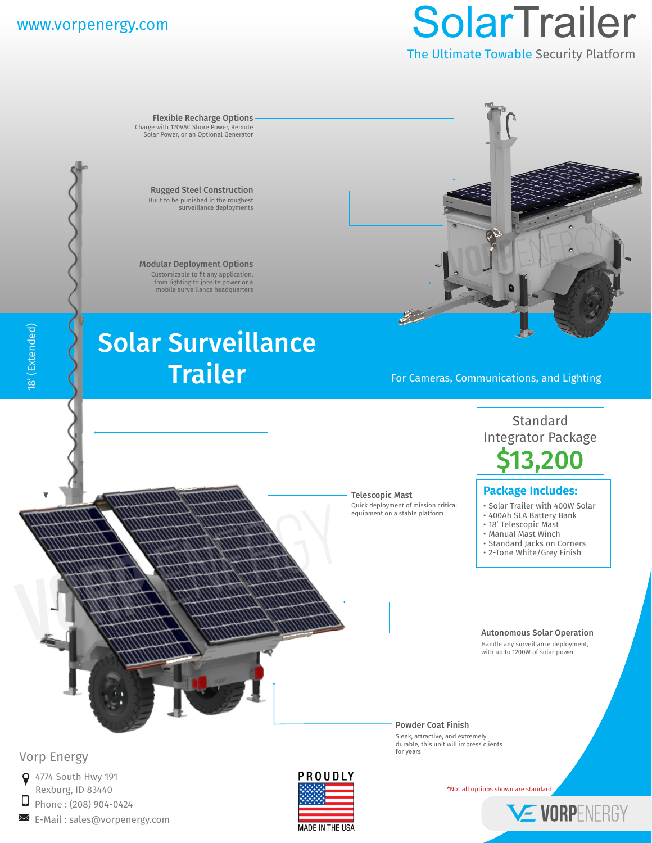18' (Extended)

18' (Extended)

 $\Box$ 

# www.vorpenergy.com SolarTrailer

The Ultimate Towable Security Platform

Flexible Recharge Options Charge with 120VAC Shore Power, Remote Solar Power, or an Optional Generator Rugged Steel Construction Built to be punished in the roughest surveillance deployments Modular Deployment Options Customizable to fit any application, from lighting to jobsite power or a mobile surveillance headquarters Solar Surveillance Trailer For Cameras, Communications, and Lighting Standard Integrator Package \$13,200 **Package Includes:**Telescopic Mast Quick deployment of mission critical • Solar Trailer with 400W Solar **Vorp** Energy equipment on a stable platform • 400Ah SLA Battery Bank • 18' Telescopic Mast • Manual Mast Winch • Standard Jacks on Corners • 2-Tone White/Grey Finish Autonomous Solar Operation Handle any surveillance deployment, with up to 1200W of solar power Powder Coat Finish Sleek, attractive, and extremely durable, this unit will impress clients for years Vorp Energy **9** 4774 South Hwy 191 PROUDLY Rexburg, ID 83440 **\*Not all options shown are standard** Phone : (208) 904-0424 VE VORPENERGY E-Mail : sales@vorpenergy.com

**MADE IN THE USA**